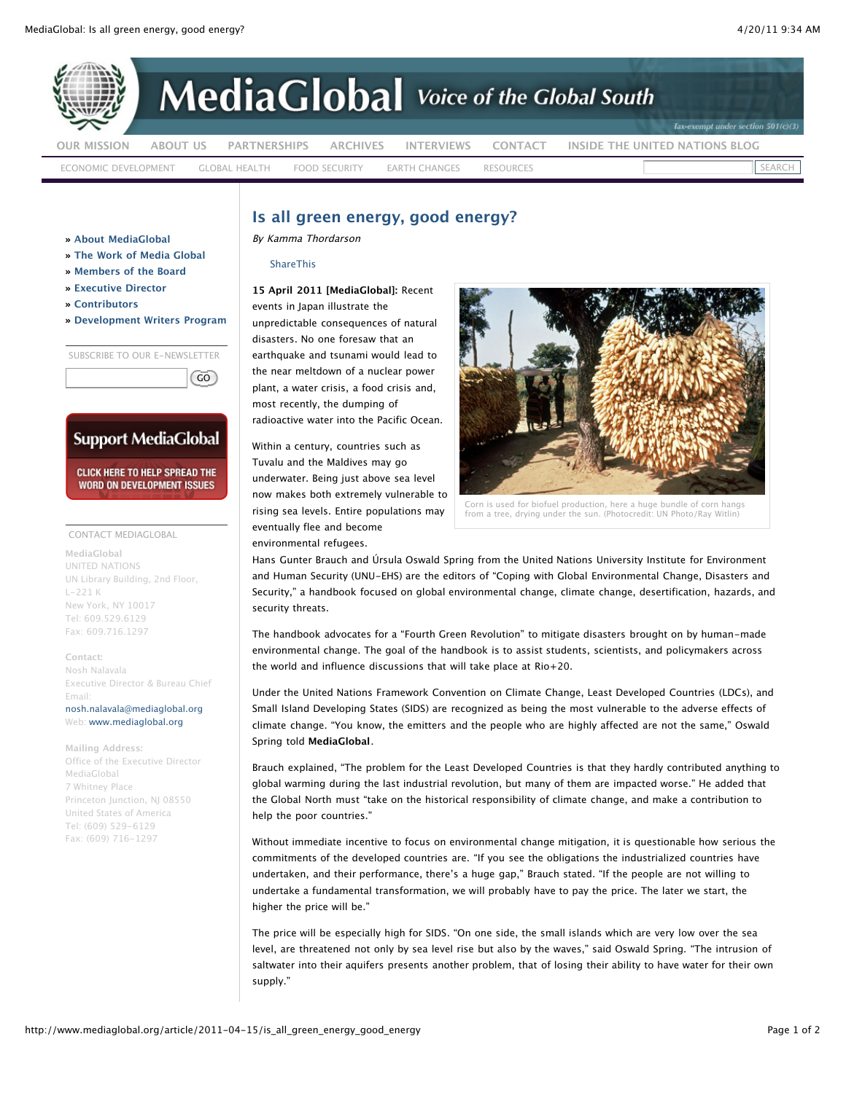

## **Is all green energy, good energy?**

By Kamma Thordarson

**[ShareThis](javascript:void(0))** 

**15 April 2011 [MediaGlobal]:** Recent events in Japan illustrate the unpredictable consequences of natural disasters. No one foresaw that an earthquake and tsunami would lead to the near meltdown of a nuclear power plant, a water crisis, a food crisis and, most recently, the dumping of radioactive water into the Pacific Ocean.

Within a century, countries such as Tuvalu and the Maldives may go underwater. Being just above sea level now makes both extremely vulnerable to rising sea levels. Entire populations may eventually flee and become environmental refugees.



Corn is used for biofuel production, here a huge bundle of corn hangs from a tree, drying under the sun. (Photocredit: UN Photo/Ray Witlin)

Hans Gunter Brauch and Úrsula Oswald Spring from the United Nations University Institute for Environment and Human Security (UNU-EHS) are the editors of "Coping with Global Environmental Change, Disasters and Security," a handbook focused on global environmental change, climate change, desertification, hazards, and security threats.

The handbook advocates for a "Fourth Green Revolution" to mitigate disasters brought on by human-made environmental change. The goal of the handbook is to assist students, scientists, and policymakers across the world and influence discussions that will take place at Rio+20.

Under the United Nations Framework Convention on Climate Change, Least Developed Countries (LDCs), and Small Island Developing States (SIDS) are recognized as being the most vulnerable to the adverse effects of climate change. "You know, the emitters and the people who are highly affected are not the same," Oswald Spring told **MediaGlobal**.

Brauch explained, "The problem for the Least Developed Countries is that they hardly contributed anything to global warming during the last industrial revolution, but many of them are impacted worse." He added that the Global North must "take on the historical responsibility of climate change, and make a contribution to help the poor countries."

Without immediate incentive to focus on environmental change mitigation, it is questionable how serious the commitments of the developed countries are. "If you see the obligations the industrialized countries have undertaken, and their performance, there's a huge gap," Brauch stated. "If the people are not willing to undertake a fundamental transformation, we will probably have to pay the price. The later we start, the higher the price will be."

The price will be especially high for SIDS. "On one side, the small islands which are very low over the sea level, are threatened not only by sea level rise but also by the waves," said Oswald Spring. "The intrusion of saltwater into their aquifers presents another problem, that of losing their ability to have water for their own supply."

**» [About MediaGlobal](http://www.mediaglobal.org/page/about)**

- **» [The Work of Media Global](http://www.mediaglobal.org/page/the-work)**
- **» [Members of the Board](http://www.mediaglobal.org/page/board-members)**
- **» [Executive Director](http://www.mediaglobal.org/page/founder-and-executive-director)**
- **» [Contributors](http://www.mediaglobal.org/page/contributors)**
- **» [Development Writers Program](http://www.mediaglobal.org/page/internship-opportunities)**

SUBSCRIBE TO OUR E-NEWSLETTER

 $\left(\begin{matrix} 60 \end{matrix}\right)$ 

## **Support MediaGlobal**

**CLICK HERE TO HELP SPREAD THE WORD ON DEVELOPMENT ISSUES** 

## CONTACT MEDIAGLOBAL

**MediaGlobal** UNITED NATIONS UN Library Building, 2nd Floor, L-221 K New York, NY 10017 Tel: 609.529.6129 Fax: 609.716.1297

**Contact:** Nosh Nalavala Executive Director & Bureau Chief Email: [nosh.nalavala@mediaglobal.org](mailto:nosh.nalavala@mediaglobal.org) Web: [www.mediaglobal.org](http://www.mediaglobal.org/)

**Mailing Address:** Office of the Executive Director MediaGlobal 7 Whitney Place Princeton Junction, NJ 08550 United States of America Tel: (609) 529-6129 Fax: (609) 716-1297